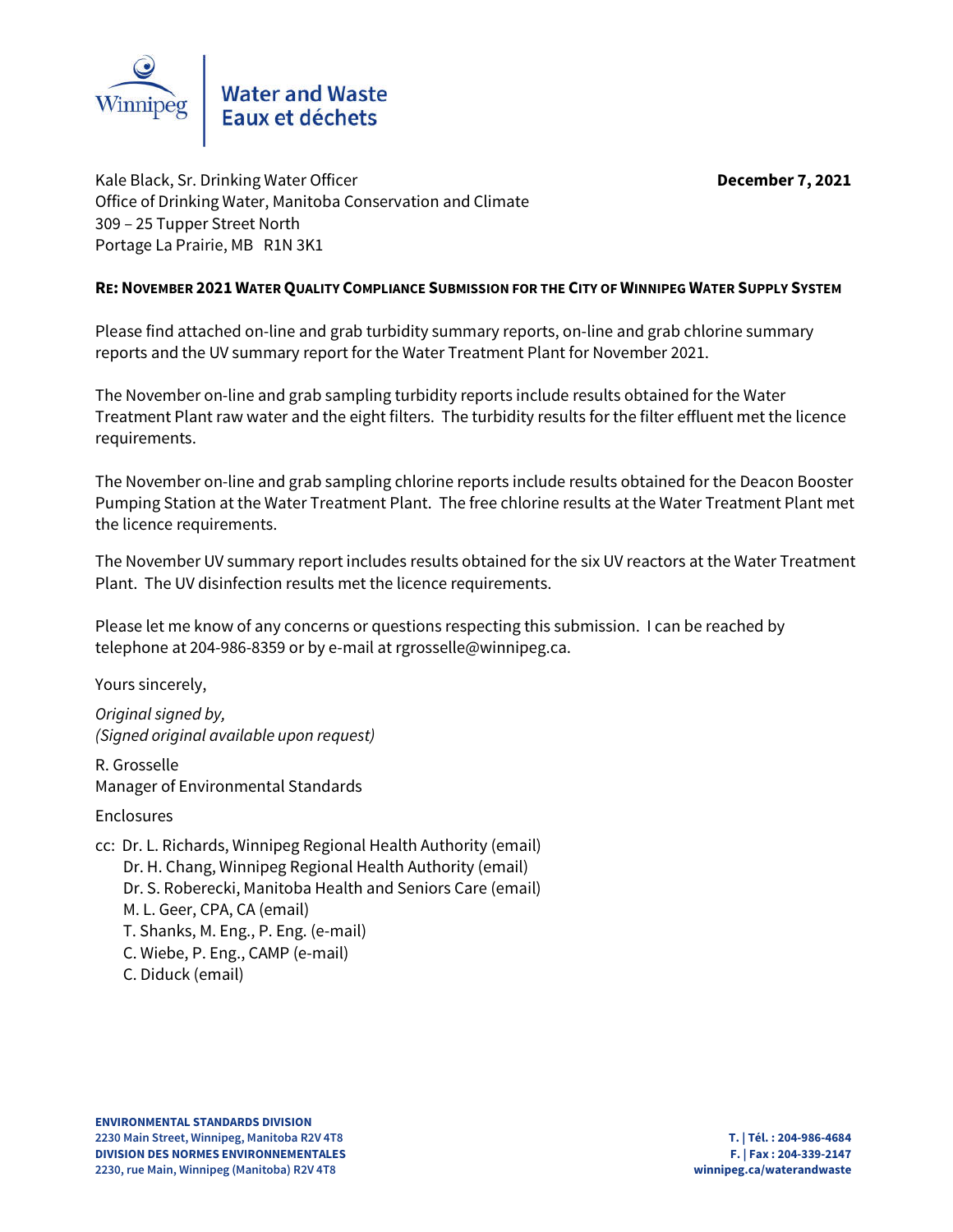

Kale Black, Sr. Drinking Water Officer **December 7, 2021** Office of Drinking Water, Manitoba Conservation and Climate 309 – 25 Tupper Street North Portage La Prairie, MB R1N 3K1

## **RE:NOVEMBER 2021 WATER QUALITY COMPLIANCE SUBMISSION FOR THE CITY OF WINNIPEG WATER SUPPLY SYSTEM**

Please find attached on-line and grab turbidity summary reports, on-line and grab chlorine summary reports and the UV summary report for the Water Treatment Plant for November 2021.

The November on-line and grab sampling turbidity reports include results obtained for the Water Treatment Plant raw water and the eight filters. The turbidity results for the filter effluent met the licence requirements.

The November on-line and grab sampling chlorine reports include results obtained for the Deacon Booster Pumping Station at the Water Treatment Plant. The free chlorine results at the Water Treatment Plant met the licence requirements.

The November UV summary report includes results obtained for the six UV reactors at the Water Treatment Plant. The UV disinfection results met the licence requirements.

Please let me know of any concerns or questions respecting this submission. I can be reached by telephone at 204-986-8359 or by e-mail at rgrosselle@winnipeg.ca.

Yours sincerely,

*Original signed by, (Signed original available upon request)*

R. Grosselle Manager of Environmental Standards

Enclosures

cc: Dr. L. Richards, Winnipeg Regional Health Authority (email) Dr. H. Chang, Winnipeg Regional Health Authority (email) Dr. S. Roberecki, Manitoba Health and Seniors Care (email) M. L. Geer, CPA, CA (email) T. Shanks, M. Eng., P. Eng. (e-mail) C. Wiebe, P. Eng., CAMP (e-mail) C. Diduck (email)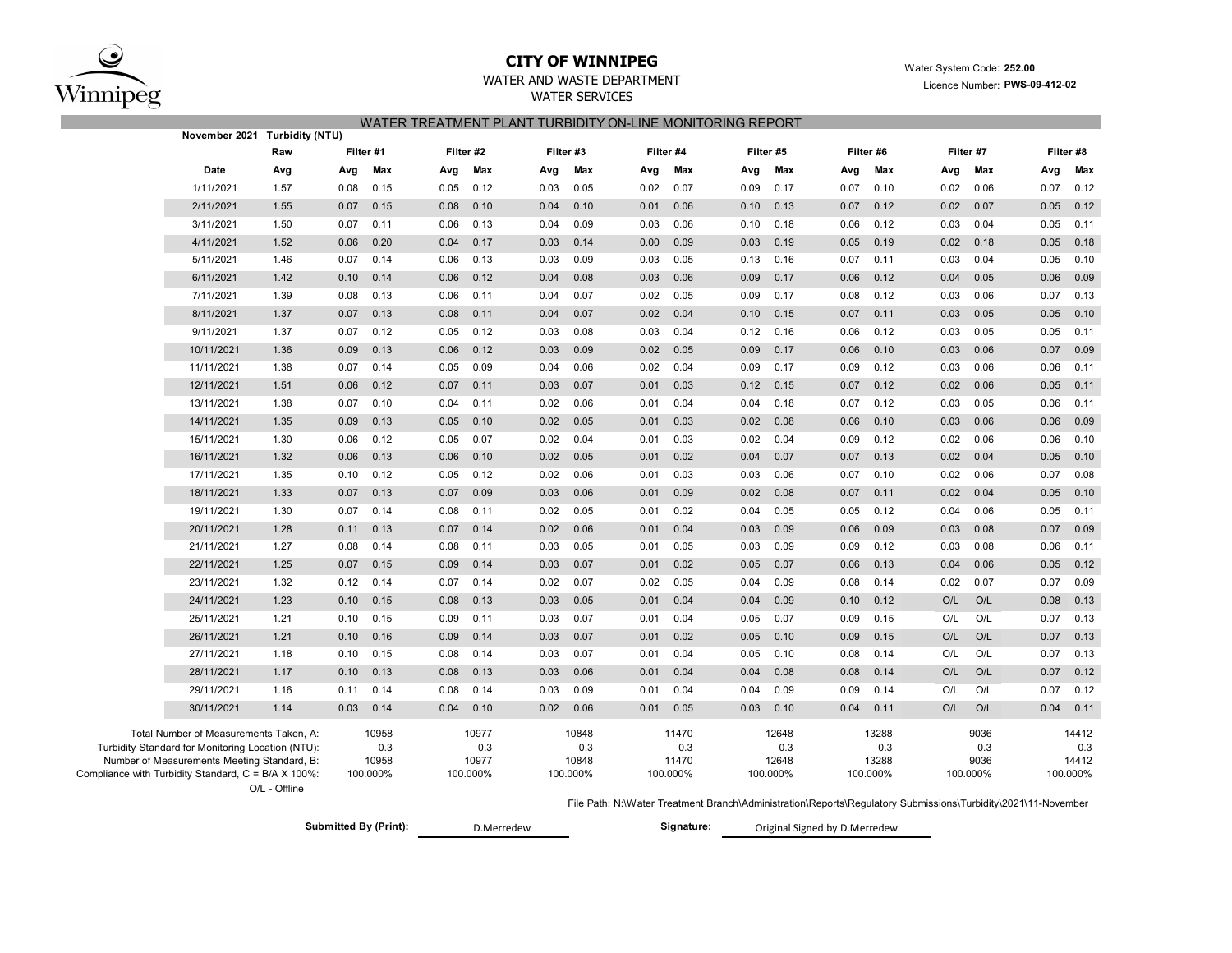

# **CITY OF WINNIPEG** WATER WATER WATER MANUSCRIPT WATER System Code: 252.00

WATER AND WASTE DEPARTMENT

## WATER SERVICES WATER TREATMENT PLANT TURBIDITY ON-LINE MONITORING REPORT

|                                                                                                    | November 2021 Turbidity (NTU) |           |       |      |                   |      |                   |      |                   |      |                   |      |                   |      |                  |      |                   |
|----------------------------------------------------------------------------------------------------|-------------------------------|-----------|-------|------|-------------------|------|-------------------|------|-------------------|------|-------------------|------|-------------------|------|------------------|------|-------------------|
|                                                                                                    | Raw                           | Filter #1 |       |      | Filter #2         |      | Filter #3         |      | Filter #4         |      | Filter #5         |      | Filter #6         |      | Filter #7        |      |                   |
| Date                                                                                               | Avg                           | Avg       | Max   | Avg  | Max               | Avg  | Max               | Avg  | Max               | Avg  | Max               | Avg  | Max               | Avg  | Max              | Avg  | Max               |
| 1/11/2021                                                                                          | 1.57                          | 0.08      | 0.15  | 0.05 | 0.12              | 0.03 | 0.05              | 0.02 | 0.07              | 0.09 | 0.17              | 0.07 | 0.10              | 0.02 | 0.06             | 0.07 | 0.12              |
| 2/11/2021                                                                                          | 1.55                          | 0.07      | 0.15  | 0.08 | 0.10              | 0.04 | 0.10              | 0.01 | 0.06              | 0.10 | 0.13              | 0.07 | 0.12              | 0.02 | 0.07             | 0.05 | 0.12              |
| 3/11/2021                                                                                          | 1.50                          | 0.07      | 0.11  | 0.06 | 0.13              | 0.04 | 0.09              | 0.03 | 0.06              | 0.10 | 0.18              | 0.06 | 0.12              | 0.03 | 0.04             | 0.05 | 0.11              |
| 4/11/2021                                                                                          | 1.52                          | 0.06      | 0.20  | 0.04 | 0.17              | 0.03 | 0.14              | 0.00 | 0.09              | 0.03 | 0.19              | 0.05 | 0.19              | 0.02 | 0.18             | 0.05 | 0.18              |
| 5/11/2021                                                                                          | 1.46                          | 0.07      | 0.14  | 0.06 | 0.13              | 0.03 | 0.09              | 0.03 | 0.05              | 0.13 | 0.16              | 0.07 | 0.11              | 0.03 | 0.04             | 0.05 | 0.10              |
| 6/11/2021                                                                                          | 1.42                          | 0.10      | 0.14  | 0.06 | 0.12              | 0.04 | 0.08              | 0.03 | 0.06              | 0.09 | 0.17              | 0.06 | 0.12              | 0.04 | 0.05             | 0.06 | 0.09              |
| 7/11/2021                                                                                          | 1.39                          | 0.08      | 0.13  | 0.06 | 0.11              | 0.04 | 0.07              | 0.02 | 0.05              | 0.09 | 0.17              | 0.08 | 0.12              | 0.03 | 0.06             | 0.07 | 0.13              |
| 8/11/2021                                                                                          | 1.37                          | 0.07      | 0.13  | 0.08 | 0.11              | 0.04 | 0.07              | 0.02 | 0.04              | 0.10 | 0.15              | 0.07 | 0.11              | 0.03 | 0.05             | 0.05 | 0.10              |
| 9/11/2021                                                                                          | 1.37                          | 0.07      | 0.12  | 0.05 | 0.12              | 0.03 | 0.08              | 0.03 | 0.04              | 0.12 | 0.16              | 0.06 | 0.12              | 0.03 | 0.05             | 0.05 | 0.11              |
| 10/11/2021                                                                                         | 1.36                          | 0.09      | 0.13  | 0.06 | 0.12              | 0.03 | 0.09              | 0.02 | 0.05              | 0.09 | 0.17              | 0.06 | 0.10              | 0.03 | 0.06             | 0.07 | 0.09              |
| 11/11/2021                                                                                         | 1.38                          | 0.07      | 0.14  | 0.05 | 0.09              | 0.04 | 0.06              | 0.02 | 0.04              | 0.09 | 0.17              | 0.09 | 0.12              | 0.03 | 0.06             | 0.06 | 0.11              |
| 12/11/2021                                                                                         | 1.51                          | 0.06      | 0.12  | 0.07 | 0.11              | 0.03 | 0.07              | 0.01 | 0.03              | 0.12 | 0.15              | 0.07 | 0.12              | 0.02 | 0.06             | 0.05 | 0.11              |
| 13/11/2021                                                                                         | 1.38                          | 0.07      | 0.10  | 0.04 | 0.11              | 0.02 | 0.06              | 0.01 | 0.04              | 0.04 | 0.18              | 0.07 | 0.12              | 0.03 | 0.05             | 0.06 | 0.11              |
| 14/11/2021                                                                                         | 1.35                          | 0.09      | 0.13  | 0.05 | 0.10              | 0.02 | 0.05              | 0.01 | 0.03              | 0.02 | 0.08              | 0.06 | 0.10              | 0.03 | 0.06             | 0.06 | 0.09              |
| 15/11/2021                                                                                         | 1.30                          | 0.06      | 0.12  | 0.05 | 0.07              | 0.02 | 0.04              | 0.01 | 0.03              | 0.02 | 0.04              | 0.09 | 0.12              | 0.02 | 0.06             | 0.06 | 0.10              |
| 16/11/2021                                                                                         | 1.32                          | 0.06      | 0.13  | 0.06 | 0.10              | 0.02 | 0.05              | 0.01 | 0.02              | 0.04 | 0.07              | 0.07 | 0.13              | 0.02 | 0.04             | 0.05 | 0.10              |
| 17/11/2021                                                                                         | 1.35                          | 0.10      | 0.12  | 0.05 | 0.12              | 0.02 | 0.06              | 0.01 | 0.03              | 0.03 | 0.06              | 0.07 | 0.10              | 0.02 | 0.06             | 0.07 | 0.08              |
| 18/11/2021                                                                                         | 1.33                          | 0.07      | 0.13  | 0.07 | 0.09              | 0.03 | 0.06              | 0.01 | 0.09              | 0.02 | 0.08              | 0.07 | 0.11              | 0.02 | 0.04             | 0.05 | 0.10              |
| 19/11/2021                                                                                         | 1.30                          | 0.07      | 0.14  | 0.08 | 0.11              | 0.02 | 0.05              | 0.01 | 0.02              | 0.04 | 0.05              | 0.05 | 0.12              | 0.04 | 0.06             | 0.05 | 0.11              |
| 20/11/2021                                                                                         | 1.28                          | 0.11      | 0.13  | 0.07 | 0.14              | 0.02 | 0.06              | 0.01 | 0.04              | 0.03 | 0.09              | 0.06 | 0.09              | 0.03 | 0.08             | 0.07 | 0.09              |
| 21/11/2021                                                                                         | 1.27                          | 0.08      | 0.14  | 0.08 | 0.11              | 0.03 | 0.05              | 0.01 | 0.05              | 0.03 | 0.09              | 0.09 | 0.12              | 0.03 | 0.08             | 0.06 | 0.11              |
| 22/11/2021                                                                                         | 1.25                          | 0.07      | 0.15  | 0.09 | 0.14              | 0.03 | 0.07              | 0.01 | 0.02              | 0.05 | 0.07              | 0.06 | 0.13              | 0.04 | 0.06             | 0.05 | 0.12              |
| 23/11/2021                                                                                         | 1.32                          | 0.12      | 0.14  | 0.07 | 0.14              | 0.02 | 0.07              | 0.02 | 0.05              | 0.04 | 0.09              | 0.08 | 0.14              | 0.02 | 0.07             | 0.07 | 0.09              |
| 24/11/2021                                                                                         | 1.23                          | 0.10      | 0.15  | 0.08 | 0.13              | 0.03 | 0.05              | 0.01 | 0.04              | 0.04 | 0.09              | 0.10 | 0.12              | O/L  | O/L              | 0.08 | 0.13              |
| 25/11/2021                                                                                         | 1.21                          | 0.10      | 0.15  | 0.09 | 0.11              | 0.03 | 0.07              | 0.01 | 0.04              | 0.05 | 0.07              | 0.09 | 0.15              | O/L  | O/L              | 0.07 | 0.13              |
| 26/11/2021                                                                                         | 1.21                          | 0.10      | 0.16  | 0.09 | 0.14              | 0.03 | 0.07              | 0.01 | 0.02              | 0.05 | 0.10              | 0.09 | 0.15              | O/L  | O/L              | 0.07 | 0.13              |
| 27/11/2021                                                                                         | 1.18                          | 0.10      | 0.15  | 0.08 | 0.14              | 0.03 | 0.07              | 0.01 | 0.04              | 0.05 | 0.10              | 0.08 | 0.14              | O/L  | O/L              | 0.07 | 0.13              |
| 28/11/2021                                                                                         | 1.17                          | 0.10      | 0.13  | 0.08 | 0.13              | 0.03 | 0.06              | 0.01 | 0.04              | 0.04 | 0.08              | 0.08 | 0.14              | O/L  | O/L              | 0.07 | 0.12              |
| 29/11/2021                                                                                         | 1.16                          | 0.11      | 0.14  | 0.08 | 0.14              | 0.03 | 0.09              | 0.01 | 0.04              | 0.04 | 0.09              | 0.09 | 0.14              | O/L  | O/L              | 0.07 | 0.12              |
| 30/11/2021                                                                                         | 1.14                          | 0.03      | 0.14  | 0.04 | 0.10              | 0.02 | 0.06              | 0.01 | 0.05              | 0.03 | 0.10              | 0.04 | 0.11              | O/L  | O/L              | 0.04 | 0.11              |
| Total Number of Measurements Taken, A:                                                             |                               |           | 10958 |      | 10977             |      | 10848             |      | 11470             |      | 12648             |      | 13288             |      | 9036             |      | 14412             |
| Turbidity Standard for Monitoring Location (NTU):                                                  |                               |           | 0.3   |      | 0.3               |      | 0.3               |      | 0.3               |      | 0.3               |      | 0.3               |      | 0.3              |      | 0.3               |
| Number of Measurements Meeting Standard, B:<br>Compliance with Turbidity Standard, C = B/A X 100%: |                               | 100.000%  | 10958 |      | 10977<br>100.000% |      | 10848<br>100.000% |      | 11470<br>100.000% |      | 12648<br>100.000% |      | 13288<br>100.000% |      | 9036<br>100.000% |      | 14412<br>100.000% |
|                                                                                                    | O/L - Offline                 |           |       |      |                   |      |                   |      |                   |      |                   |      |                   |      |                  |      |                   |

File Path: N:\Water Treatment Branch\Administration\Reports\Regulatory Submissions\Turbidity\2021\11-November

Submitted By (Print): **D.Merredew Signature:** 

Original Signed by D.Merredew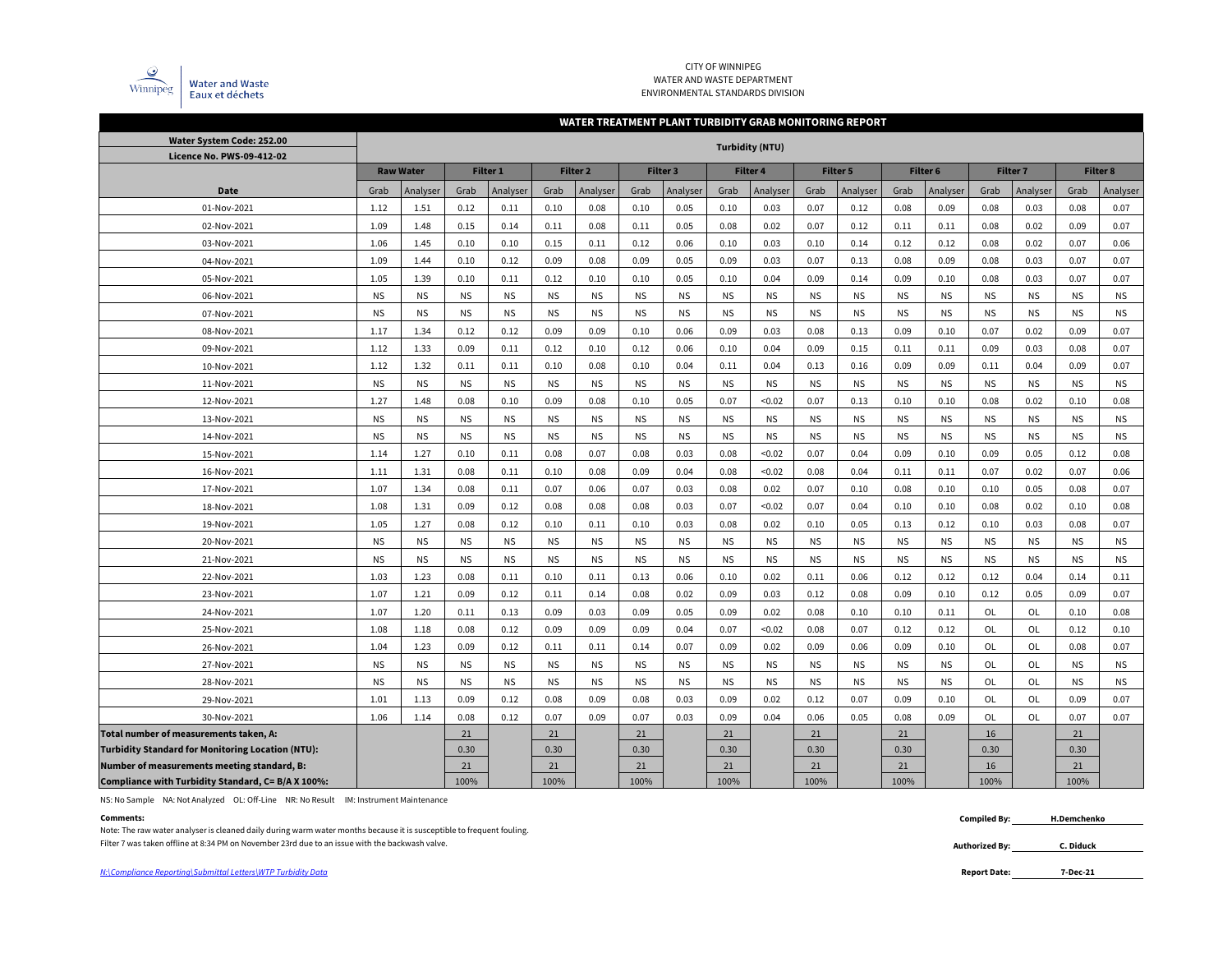

#### CITY OF WINNIPEG WATER AND WASTE DEPARTMENT ENVIRONMENTAL STANDARDS DIVISION

### **WATER TREATMENT PLANT TURBIDITY GRAB MONITORING REPORT**

| Water System Code: 252.00                                | <b>Turbidity (NTU)</b> |                  |           |                 |           |                     |           |           |           |                 |           |                 |                     |           |                 |           |           |                 |
|----------------------------------------------------------|------------------------|------------------|-----------|-----------------|-----------|---------------------|-----------|-----------|-----------|-----------------|-----------|-----------------|---------------------|-----------|-----------------|-----------|-----------|-----------------|
| Licence No. PWS-09-412-02                                |                        |                  |           |                 |           |                     |           |           |           |                 |           |                 |                     |           |                 |           |           |                 |
|                                                          |                        | <b>Raw Water</b> |           | <b>Filter 1</b> |           | Filter <sub>2</sub> |           | Filter 3  |           | <b>Filter 4</b> |           | <b>Filter 5</b> | Filter <sub>6</sub> |           | <b>Filter 7</b> |           |           | <b>Filter 8</b> |
| Date                                                     | Grab                   | Analyser         | Grab      | Analyser        | Grab      | Analyser            | Grab      | Analyser  | Grab      | Analyser        | Grab      | Analyser        | Grab                | Analyser  | Grab            | Analyser  | Grab      | Analyser        |
| 01-Nov-2021                                              | 1.12                   | 1.51             | 0.12      | 0.11            | 0.10      | 0.08                | 0.10      | 0.05      | 0.10      | 0.03            | 0.07      | 0.12            | 0.08                | 0.09      | 0.08            | 0.03      | 0.08      | 0.07            |
| 02-Nov-2021                                              | 1.09                   | 1.48             | 0.15      | 0.14            | 0.11      | 0.08                | 0.11      | 0.05      | 0.08      | 0.02            | 0.07      | 0.12            | 0.11                | 0.11      | 0.08            | 0.02      | 0.09      | 0.07            |
| 03-Nov-2021                                              | 1.06                   | 1.45             | 0.10      | 0.10            | 0.15      | 0.11                | 0.12      | 0.06      | 0.10      | 0.03            | 0.10      | 0.14            | 0.12                | 0.12      | 0.08            | 0.02      | 0.07      | 0.06            |
| 04-Nov-2021                                              | 1.09                   | 1.44             | 0.10      | 0.12            | 0.09      | 0.08                | 0.09      | 0.05      | 0.09      | 0.03            | 0.07      | 0.13            | 0.08                | 0.09      | 0.08            | 0.03      | 0.07      | 0.07            |
| 05-Nov-2021                                              | 1.05                   | 1.39             | 0.10      | 0.11            | 0.12      | 0.10                | 0.10      | 0.05      | 0.10      | 0.04            | 0.09      | 0.14            | 0.09                | 0.10      | 0.08            | 0.03      | 0.07      | 0.07            |
| 06-Nov-2021                                              | <b>NS</b>              | <b>NS</b>        | <b>NS</b> | <b>NS</b>       | <b>NS</b> | <b>NS</b>           | <b>NS</b> | <b>NS</b> | <b>NS</b> | <b>NS</b>       | <b>NS</b> | <b>NS</b>       | <b>NS</b>           | <b>NS</b> | <b>NS</b>       | <b>NS</b> | <b>NS</b> | <b>NS</b>       |
| 07-Nov-2021                                              | <b>NS</b>              | <b>NS</b>        | <b>NS</b> | <b>NS</b>       | <b>NS</b> | <b>NS</b>           | <b>NS</b> | <b>NS</b> | <b>NS</b> | <b>NS</b>       | <b>NS</b> | <b>NS</b>       | <b>NS</b>           | <b>NS</b> | <b>NS</b>       | <b>NS</b> | <b>NS</b> | <b>NS</b>       |
| 08-Nov-2021                                              | 1.17                   | 1.34             | 0.12      | 0.12            | 0.09      | 0.09                | 0.10      | 0.06      | 0.09      | 0.03            | 0.08      | 0.13            | 0.09                | 0.10      | 0.07            | 0.02      | 0.09      | 0.07            |
| 09-Nov-2021                                              | 1.12                   | 1.33             | 0.09      | 0.11            | 0.12      | 0.10                | 0.12      | 0.06      | 0.10      | 0.04            | 0.09      | 0.15            | 0.11                | 0.11      | 0.09            | 0.03      | 0.08      | 0.07            |
| 10-Nov-2021                                              | 1.12                   | 1.32             | 0.11      | 0.11            | 0.10      | 0.08                | 0.10      | 0.04      | 0.11      | 0.04            | 0.13      | 0.16            | 0.09                | 0.09      | 0.11            | 0.04      | 0.09      | 0.07            |
| 11-Nov-2021                                              | <b>NS</b>              | <b>NS</b>        | <b>NS</b> | <b>NS</b>       | <b>NS</b> | <b>NS</b>           | <b>NS</b> | <b>NS</b> | <b>NS</b> | <b>NS</b>       | <b>NS</b> | <b>NS</b>       | <b>NS</b>           | <b>NS</b> | <b>NS</b>       | <b>NS</b> | <b>NS</b> | <b>NS</b>       |
| 12-Nov-2021                                              | 1.27                   | 1.48             | 0.08      | 0.10            | 0.09      | 0.08                | 0.10      | 0.05      | 0.07      | < 0.02          | 0.07      | 0.13            | 0.10                | 0.10      | 0.08            | 0.02      | 0.10      | 0.08            |
| 13-Nov-2021                                              | <b>NS</b>              | <b>NS</b>        | <b>NS</b> | <b>NS</b>       | <b>NS</b> | <b>NS</b>           | <b>NS</b> | <b>NS</b> | <b>NS</b> | <b>NS</b>       | <b>NS</b> | <b>NS</b>       | <b>NS</b>           | <b>NS</b> | <b>NS</b>       | <b>NS</b> | <b>NS</b> | <b>NS</b>       |
| 14-Nov-2021                                              | <b>NS</b>              | <b>NS</b>        | <b>NS</b> | <b>NS</b>       | <b>NS</b> | <b>NS</b>           | <b>NS</b> | <b>NS</b> | <b>NS</b> | <b>NS</b>       | <b>NS</b> | <b>NS</b>       | <b>NS</b>           | <b>NS</b> | <b>NS</b>       | <b>NS</b> | <b>NS</b> | <b>NS</b>       |
| 15-Nov-2021                                              | 1.14                   | 1.27             | 0.10      | 0.11            | 0.08      | 0.07                | 0.08      | 0.03      | 0.08      | < 0.02          | 0.07      | 0.04            | 0.09                | 0.10      | 0.09            | 0.05      | 0.12      | 0.08            |
| 16-Nov-2021                                              | 1.11                   | 1.31             | 0.08      | 0.11            | 0.10      | 0.08                | 0.09      | 0.04      | 0.08      | < 0.02          | 0.08      | 0.04            | 0.11                | 0.11      | 0.07            | 0.02      | 0.07      | 0.06            |
| 17-Nov-2021                                              | 1.07                   | 1.34             | 0.08      | 0.11            | 0.07      | 0.06                | 0.07      | 0.03      | 0.08      | 0.02            | 0.07      | 0.10            | 0.08                | 0.10      | 0.10            | 0.05      | 0.08      | 0.07            |
| 18-Nov-2021                                              | 1.08                   | 1.31             | 0.09      | 0.12            | 0.08      | 0.08                | 0.08      | 0.03      | 0.07      | < 0.02          | 0.07      | 0.04            | 0.10                | 0.10      | 0.08            | 0.02      | 0.10      | 0.08            |
| 19-Nov-2021                                              | 1.05                   | 1.27             | 0.08      | 0.12            | 0.10      | 0.11                | 0.10      | 0.03      | 0.08      | 0.02            | 0.10      | 0.05            | 0.13                | 0.12      | 0.10            | 0.03      | 0.08      | 0.07            |
| 20-Nov-2021                                              | <b>NS</b>              | <b>NS</b>        | <b>NS</b> | <b>NS</b>       | <b>NS</b> | <b>NS</b>           | <b>NS</b> | <b>NS</b> | <b>NS</b> | <b>NS</b>       | <b>NS</b> | <b>NS</b>       | <b>NS</b>           | <b>NS</b> | <b>NS</b>       | <b>NS</b> | <b>NS</b> | <b>NS</b>       |
| 21-Nov-2021                                              | <b>NS</b>              | <b>NS</b>        | <b>NS</b> | <b>NS</b>       | <b>NS</b> | <b>NS</b>           | <b>NS</b> | <b>NS</b> | <b>NS</b> | <b>NS</b>       | <b>NS</b> | <b>NS</b>       | <b>NS</b>           | <b>NS</b> | <b>NS</b>       | <b>NS</b> | <b>NS</b> | <b>NS</b>       |
| 22-Nov-2021                                              | 1.03                   | 1.23             | 0.08      | 0.11            | 0.10      | 0.11                | 0.13      | 0.06      | 0.10      | 0.02            | 0.11      | 0.06            | 0.12                | 0.12      | 0.12            | 0.04      | 0.14      | 0.11            |
| 23-Nov-2021                                              | 1.07                   | 1.21             | 0.09      | 0.12            | 0.11      | 0.14                | 0.08      | 0.02      | 0.09      | 0.03            | 0.12      | 0.08            | 0.09                | 0.10      | 0.12            | 0.05      | 0.09      | 0.07            |
| 24-Nov-2021                                              | 1.07                   | 1.20             | 0.11      | 0.13            | 0.09      | 0.03                | 0.09      | 0.05      | 0.09      | 0.02            | 0.08      | 0.10            | 0.10                | 0.11      | OL              | OL        | 0.10      | 0.08            |
| 25-Nov-2021                                              | 1.08                   | 1.18             | 0.08      | 0.12            | 0.09      | 0.09                | 0.09      | 0.04      | 0.07      | < 0.02          | 0.08      | 0.07            | 0.12                | 0.12      | OL              | OL        | 0.12      | 0.10            |
| 26-Nov-2021                                              | 1.04                   | 1.23             | 0.09      | 0.12            | 0.11      | 0.11                | 0.14      | 0.07      | 0.09      | 0.02            | 0.09      | 0.06            | 0.09                | 0.10      | OL              | OL        | 0.08      | 0.07            |
| 27-Nov-2021                                              | <b>NS</b>              | <b>NS</b>        | <b>NS</b> | <b>NS</b>       | <b>NS</b> | <b>NS</b>           | <b>NS</b> | <b>NS</b> | <b>NS</b> | <b>NS</b>       | <b>NS</b> | <b>NS</b>       | <b>NS</b>           | <b>NS</b> | <b>OL</b>       | OL        | <b>NS</b> | <b>NS</b>       |
| 28-Nov-2021                                              | <b>NS</b>              | <b>NS</b>        | <b>NS</b> | <b>NS</b>       | <b>NS</b> | <b>NS</b>           | <b>NS</b> | <b>NS</b> | <b>NS</b> | <b>NS</b>       | <b>NS</b> | <b>NS</b>       | <b>NS</b>           | <b>NS</b> | <b>OL</b>       | OL        | <b>NS</b> | <b>NS</b>       |
| 29-Nov-2021                                              | 1.01                   | 1.13             | 0.09      | 0.12            | 0.08      | 0.09                | 0.08      | 0.03      | 0.09      | 0.02            | 0.12      | 0.07            | 0.09                | 0.10      | <b>OL</b>       | OL        | 0.09      | 0.07            |
| 30-Nov-2021                                              | 1.06                   | 1.14             | 0.08      | 0.12            | 0.07      | 0.09                | 0.07      | 0.03      | 0.09      | 0.04            | 0.06      | 0.05            | 0.08                | 0.09      | <b>OL</b>       | OL        | 0.07      | 0.07            |
| Total number of measurements taken, A:                   |                        |                  | 21        |                 | 21        |                     | 21        |           | 21        |                 | 21        |                 | 21                  |           | 16              |           | 21        |                 |
| <b>Turbidity Standard for Monitoring Location (NTU):</b> |                        |                  | 0.30      |                 | 0.30      |                     | 0.30      |           | 0.30      |                 | 0.30      |                 | 0.30                |           | 0.30            |           | 0.30      |                 |
| Number of measurements meeting standard, B:              |                        |                  | 21        |                 | 21        |                     | 21        |           | 21        |                 | 21        |                 | 21                  |           | 16              |           | 21        |                 |
| Compliance with Turbidity Standard, C= B/A X 100%:       |                        |                  | 100%      |                 | 100%      |                     | 100%      |           | 100%      |                 | 100%      |                 | 100%                |           | 100%            |           | 100%      |                 |

NS: No Sample NA: Not Analyzed OL: Off-Line NR: No Result IM: Instrument Maintenance

**Comments: Compiled By:** Note: The raw water analyser is cleaned daily during warm water months because it is susceptible to frequent fouling.

Filter 7 was taken offline at 8:34 PM on November 23rd due to an issue with the backwash valve. **C. Diduck C. Diduck C. Diduck C. Diduck** 

*N:\Compliance Reporting\Submittal Letters\WTP Turbidity Data* **Report Date:**

**Authorized By:**

**7-Dec-21**

**H.Demchenko**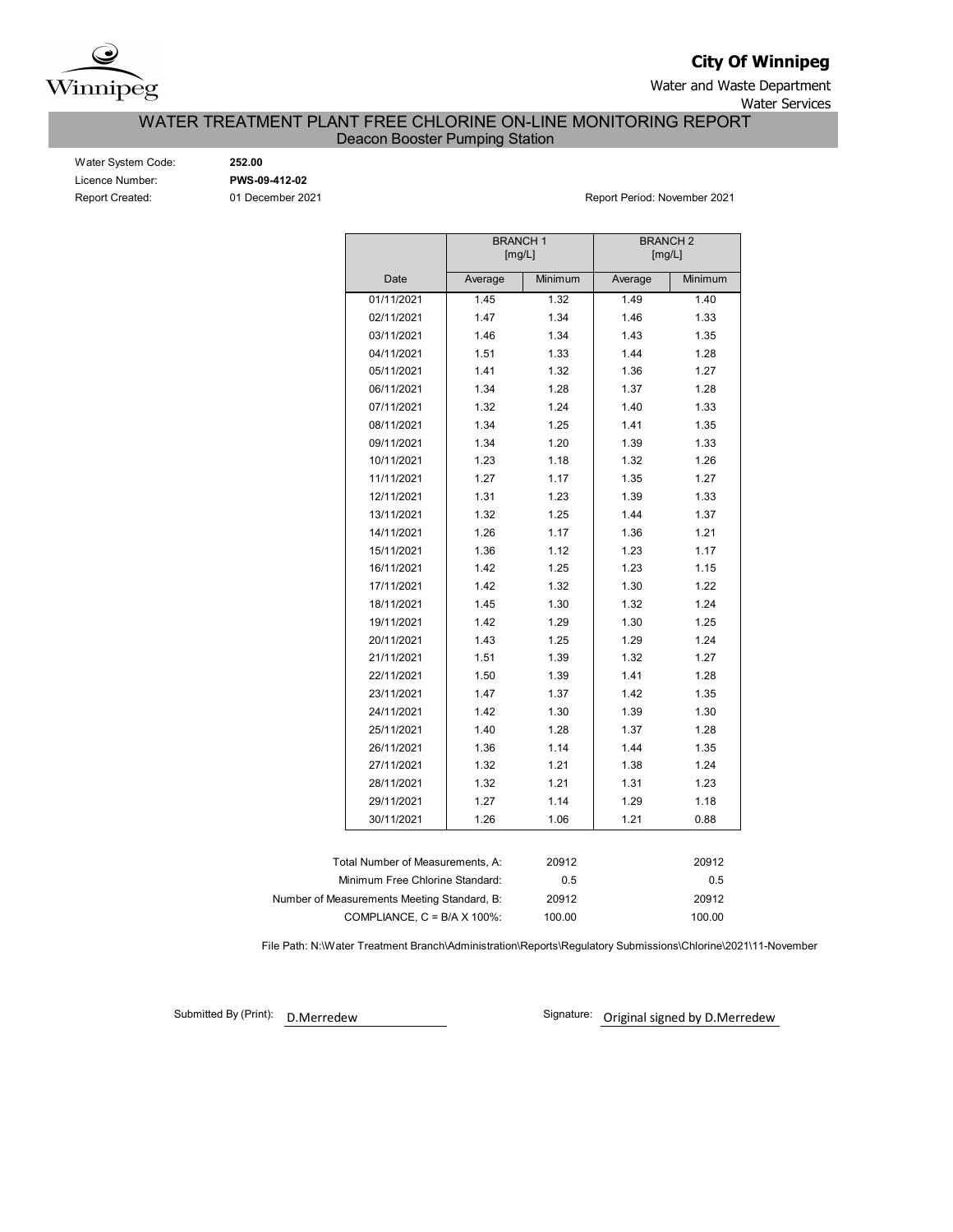

**City Of Winnipeg**

Water and Waste Department Water Services

# WATER TREATMENT PLANT FREE CHLORINE ON-LINE MONITORING REPORT

Deacon Booster Pumping Station

| Water System Code:     |
|------------------------|
| Licence Number:        |
| <b>Report Created:</b> |

Water System Code: **252.00** Licence Number: **PWS-09-412-02**

01 December 2021 **Report Period: November 2021** 

|                                   | <b>BRANCH1</b> | [mg/L]  | <b>BRANCH 2</b><br>[mg/L] |         |  |  |
|-----------------------------------|----------------|---------|---------------------------|---------|--|--|
| Date                              | Average        | Minimum | Average                   | Minimum |  |  |
| 01/11/2021                        | 1.45           | 1.32    | 1.49                      | 1.40    |  |  |
| 02/11/2021                        | 1.47           | 1.34    | 1.46                      | 1.33    |  |  |
| 03/11/2021                        | 1.46           | 1.34    | 1.43                      | 1.35    |  |  |
| 04/11/2021                        | 1.51           | 1.33    | 1.44                      | 1.28    |  |  |
| 05/11/2021                        | 1.41           | 1.32    | 1.36                      | 1.27    |  |  |
| 06/11/2021                        | 1.34           | 1.28    | 1.37                      | 1.28    |  |  |
| 07/11/2021                        | 1.32           | 1.24    | 1.40                      | 1.33    |  |  |
| 08/11/2021                        | 1.34           | 1.25    | 1.41                      | 1.35    |  |  |
| 09/11/2021                        | 1.34           | 1.20    | 1.39                      | 1.33    |  |  |
| 10/11/2021                        | 1.23           | 1.18    | 1.32                      | 1.26    |  |  |
| 11/11/2021                        | 1.27           | 1.17    | 1.35                      | 1.27    |  |  |
| 12/11/2021                        | 1.31           | 1.23    | 1.39                      | 1.33    |  |  |
| 13/11/2021                        | 1.32           | 1.25    | 1.44                      | 1.37    |  |  |
| 14/11/2021                        | 1.26           | 1.17    | 1.36                      | 1.21    |  |  |
| 15/11/2021                        | 1.36           | 1.12    | 1.23                      | 1.17    |  |  |
| 16/11/2021                        | 1.42           | 1.25    | 1.23                      | 1.15    |  |  |
| 17/11/2021                        | 1.42           | 1.32    | 1.30                      | 1.22    |  |  |
| 18/11/2021                        | 1.45           | 1.30    | 1.32                      | 1.24    |  |  |
| 19/11/2021                        | 1.42           | 1.29    | 1.30                      | 1.25    |  |  |
| 20/11/2021                        | 1.43           | 1.25    | 1.29                      | 1.24    |  |  |
| 21/11/2021                        | 1.51           | 1.39    | 1.32                      | 1.27    |  |  |
| 22/11/2021                        | 1.50           | 1.39    | 1.41                      | 1.28    |  |  |
| 23/11/2021                        | 1.47           | 1.37    | 1.42                      | 1.35    |  |  |
| 24/11/2021                        | 1.42           | 1.30    | 1.39                      | 1.30    |  |  |
| 25/11/2021                        | 1.40           | 1.28    | 1.37                      | 1.28    |  |  |
| 26/11/2021                        | 1.36           | 1.14    | 1.44                      | 1.35    |  |  |
| 27/11/2021                        | 1.32           | 1.21    | 1.38                      | 1.24    |  |  |
| 28/11/2021                        | 1.32           | 1.21    | 1.31                      | 1.23    |  |  |
| 29/11/2021                        | 1.27           | 1.14    | 1.29                      | 1.18    |  |  |
| 30/11/2021                        | 1.26           | 1.06    | 1.21                      | 0.88    |  |  |
|                                   |                |         |                           |         |  |  |
| Total Number of Measurements, A:  |                | 20912   |                           | 20912   |  |  |
| Minimum Free Chlorine Standard:   |                | 0.5     |                           | 0.5     |  |  |
| Measurements Meeting Standard, B: |                | 20912   |                           | 20912   |  |  |
| COMPLIANCE, C = B/A X 100%:       |                | 100.00  |                           | 100.00  |  |  |

File Path: N:\Water Treatment Branch\Administration\Reports\Regulatory Submissions\Chlorine\2021\11-November

Submitted By (Print): D.Merredew

Number of

Signature: Original signed by D.Merredew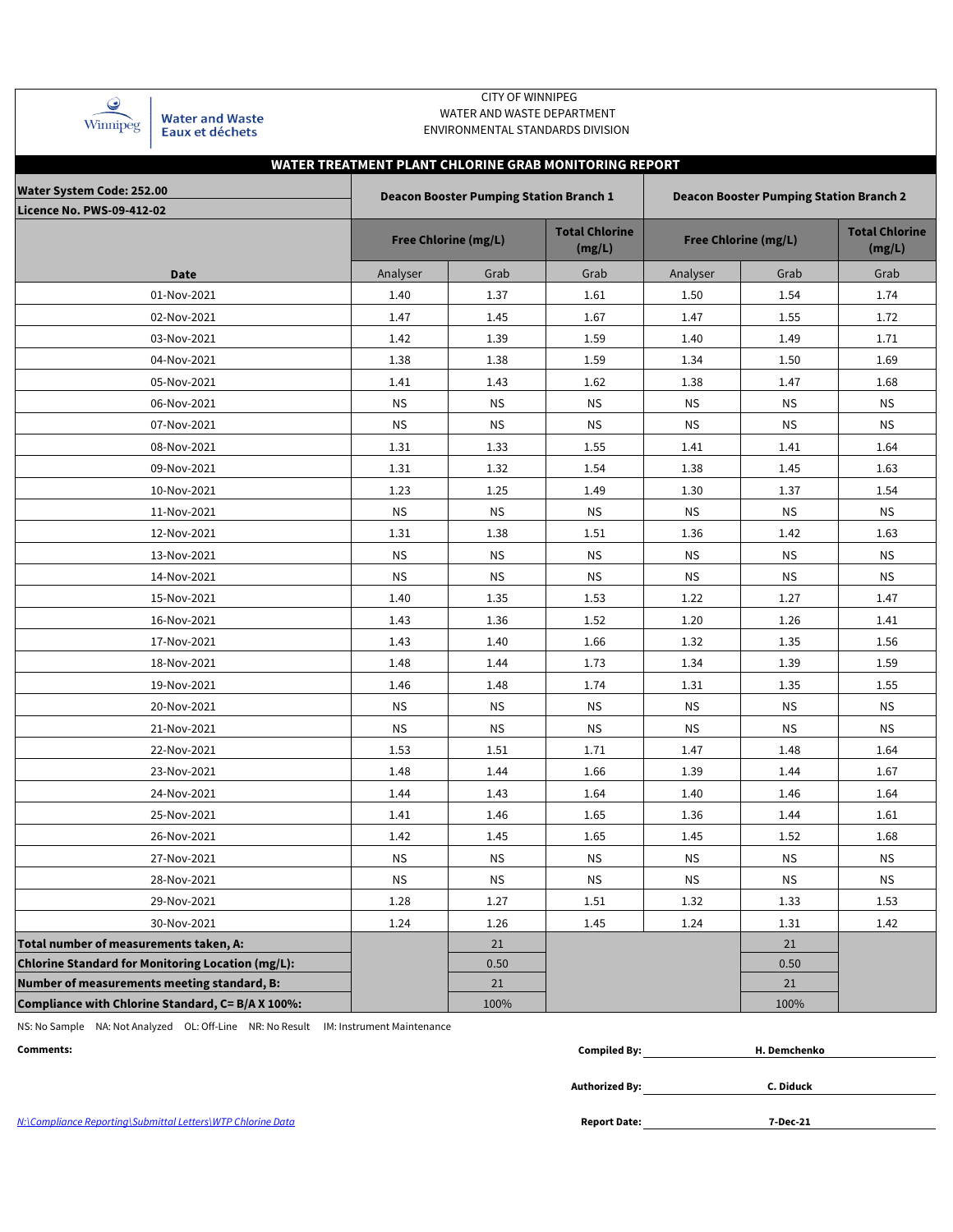| Winnipeg |
|----------|

Water and Waste<br>Eaux et déchets

### CITY OF WINNIPEG WATER AND WASTE DEPARTMENT ENVIRONMENTAL STANDARDS DIVISION

|                                                   |                                                                                                  |                             | WATER TREATMENT PLANT CHLORINE GRAB MONITORING REPORT |           |                             |                                 |  |  |  |  |  |  |  |
|---------------------------------------------------|--------------------------------------------------------------------------------------------------|-----------------------------|-------------------------------------------------------|-----------|-----------------------------|---------------------------------|--|--|--|--|--|--|--|
| <b>Water System Code: 252.00</b>                  | <b>Deacon Booster Pumping Station Branch 1</b><br><b>Deacon Booster Pumping Station Branch 2</b> |                             |                                                       |           |                             |                                 |  |  |  |  |  |  |  |
| <b>Licence No. PWS-09-412-02</b>                  |                                                                                                  |                             |                                                       |           |                             |                                 |  |  |  |  |  |  |  |
|                                                   |                                                                                                  | <b>Free Chlorine (mg/L)</b> | <b>Total Chlorine</b><br>(mg/L)                       |           | <b>Free Chlorine (mg/L)</b> | <b>Total Chlorine</b><br>(mg/L) |  |  |  |  |  |  |  |
| <b>Date</b>                                       | Analyser                                                                                         | Grab                        | Grab                                                  | Analyser  | Grab                        | Grab                            |  |  |  |  |  |  |  |
| 01-Nov-2021                                       | 1.40                                                                                             | 1.37                        | 1.61                                                  | 1.50      | 1.54                        | 1.74                            |  |  |  |  |  |  |  |
| 02-Nov-2021                                       | 1.47                                                                                             | 1.45                        | 1.67                                                  | 1.47      | 1.55                        | 1.72                            |  |  |  |  |  |  |  |
| 03-Nov-2021                                       | 1.42                                                                                             | 1.39                        | 1.59                                                  | 1.40      | 1.49                        | 1.71                            |  |  |  |  |  |  |  |
| 04-Nov-2021                                       | 1.38                                                                                             | 1.38                        | 1.59                                                  | 1.34      | 1.50                        | 1.69                            |  |  |  |  |  |  |  |
| 05-Nov-2021                                       | 1.41                                                                                             | 1.43                        | 1.62                                                  | 1.38      | 1.47                        | 1.68                            |  |  |  |  |  |  |  |
| 06-Nov-2021                                       | <b>NS</b>                                                                                        | <b>NS</b>                   | <b>NS</b>                                             | <b>NS</b> | <b>NS</b>                   | <b>NS</b>                       |  |  |  |  |  |  |  |
| 07-Nov-2021                                       | <b>NS</b>                                                                                        | <b>NS</b>                   | <b>NS</b>                                             | <b>NS</b> | <b>NS</b>                   | <b>NS</b>                       |  |  |  |  |  |  |  |
| 08-Nov-2021                                       | 1.31                                                                                             | 1.33                        | 1.55                                                  | 1.41      | 1.41                        | 1.64                            |  |  |  |  |  |  |  |
| 09-Nov-2021                                       | 1.31                                                                                             | 1.32                        | 1.54                                                  | 1.38      | 1.45                        | 1.63                            |  |  |  |  |  |  |  |
| 10-Nov-2021                                       | 1.23                                                                                             | 1.25                        | 1.49                                                  | 1.30      | 1.37                        | 1.54                            |  |  |  |  |  |  |  |
| 11-Nov-2021                                       | <b>NS</b>                                                                                        | <b>NS</b>                   | <b>NS</b>                                             | <b>NS</b> | <b>NS</b>                   | <b>NS</b>                       |  |  |  |  |  |  |  |
| 12-Nov-2021                                       | 1.31                                                                                             | 1.38                        | 1.51                                                  | 1.36      | 1.42                        | 1.63                            |  |  |  |  |  |  |  |
| 13-Nov-2021                                       | <b>NS</b>                                                                                        | <b>NS</b>                   | <b>NS</b>                                             | <b>NS</b> | <b>NS</b>                   | <b>NS</b>                       |  |  |  |  |  |  |  |
| 14-Nov-2021                                       | <b>NS</b>                                                                                        | <b>NS</b>                   | <b>NS</b>                                             | <b>NS</b> | <b>NS</b>                   | <b>NS</b>                       |  |  |  |  |  |  |  |
| 15-Nov-2021                                       | 1.40                                                                                             | 1.35                        | 1.53                                                  | 1.22      | 1.27                        | 1.47                            |  |  |  |  |  |  |  |
| 16-Nov-2021                                       | 1.43                                                                                             | 1.36                        | 1.52                                                  | 1.20      | 1.26                        | 1.41                            |  |  |  |  |  |  |  |
| 17-Nov-2021                                       | 1.43                                                                                             | 1.40                        | 1.66                                                  | 1.32      | 1.35                        | 1.56                            |  |  |  |  |  |  |  |
| 18-Nov-2021                                       | 1.48                                                                                             | 1.44                        | 1.73                                                  | 1.34      | 1.39                        | 1.59                            |  |  |  |  |  |  |  |
| 19-Nov-2021                                       | 1.46                                                                                             | 1.48                        | 1.74                                                  | 1.31      | 1.35                        | 1.55                            |  |  |  |  |  |  |  |
| 20-Nov-2021                                       | <b>NS</b>                                                                                        | <b>NS</b>                   | <b>NS</b>                                             | <b>NS</b> | <b>NS</b>                   | <b>NS</b>                       |  |  |  |  |  |  |  |
| 21-Nov-2021                                       | <b>NS</b>                                                                                        | <b>NS</b>                   | <b>NS</b>                                             | <b>NS</b> | <b>NS</b>                   | <b>NS</b>                       |  |  |  |  |  |  |  |
| 22-Nov-2021                                       | 1.53                                                                                             | 1.51                        | 1.71                                                  | 1.47      | 1.48                        | 1.64                            |  |  |  |  |  |  |  |
| 23-Nov-2021                                       | 1.48                                                                                             | 1.44                        | 1.66                                                  | 1.39      | 1.44                        | 1.67                            |  |  |  |  |  |  |  |
| 24-Nov-2021                                       | 1.44                                                                                             | 1.43                        | 1.64                                                  | 1.40      | 1.46                        | 1.64                            |  |  |  |  |  |  |  |
| 25-Nov-2021                                       | 1.41                                                                                             | 1.46                        | 1.65                                                  | 1.36      | 1.44                        | 1.61                            |  |  |  |  |  |  |  |
| 26-Nov-2021                                       | 1.42                                                                                             | 1.45                        | 1.65                                                  | 1.45      | 1.52                        | 1.68                            |  |  |  |  |  |  |  |
| 27-Nov-2021                                       | ΝS                                                                                               | ΝS                          | ΝS                                                    | ΝS        | ΝS                          | ΝS                              |  |  |  |  |  |  |  |
| 28-Nov-2021                                       | <b>NS</b>                                                                                        | <b>NS</b>                   | <b>NS</b>                                             | <b>NS</b> | <b>NS</b>                   | <b>NS</b>                       |  |  |  |  |  |  |  |
| 29-Nov-2021                                       | 1.28                                                                                             | 1.27                        | 1.51                                                  | 1.32      | 1.33                        | 1.53                            |  |  |  |  |  |  |  |
| 30-Nov-2021                                       | 1.24                                                                                             | 1.26                        | 1.45                                                  | 1.24      | 1.31                        | 1.42                            |  |  |  |  |  |  |  |
| Total number of measurements taken, A:            |                                                                                                  | 21                          |                                                       |           | 21                          |                                 |  |  |  |  |  |  |  |
| Chlorine Standard for Monitoring Location (mg/L): |                                                                                                  | 0.50                        |                                                       |           | 0.50                        |                                 |  |  |  |  |  |  |  |
| Number of measurements meeting standard, B:       |                                                                                                  | 21                          |                                                       |           | 21                          |                                 |  |  |  |  |  |  |  |
| Compliance with Chlorine Standard, C= B/A X 100%: |                                                                                                  | 100%                        |                                                       |           | 100%                        |                                 |  |  |  |  |  |  |  |

NS: No Sample NA: Not Analyzed OL: Off-Line NR: No Result IM: Instrument Maintenance

| Comments: | <b>Compiled By:</b>   | H. Demchenko |  |
|-----------|-----------------------|--------------|--|
|           |                       |              |  |
|           | <b>Authorized By:</b> | C. Diduck    |  |
|           |                       |              |  |

*N:\Compliance Reporting\Submittal Letters\WTP Chlorine Data* 

**7-Dec-21**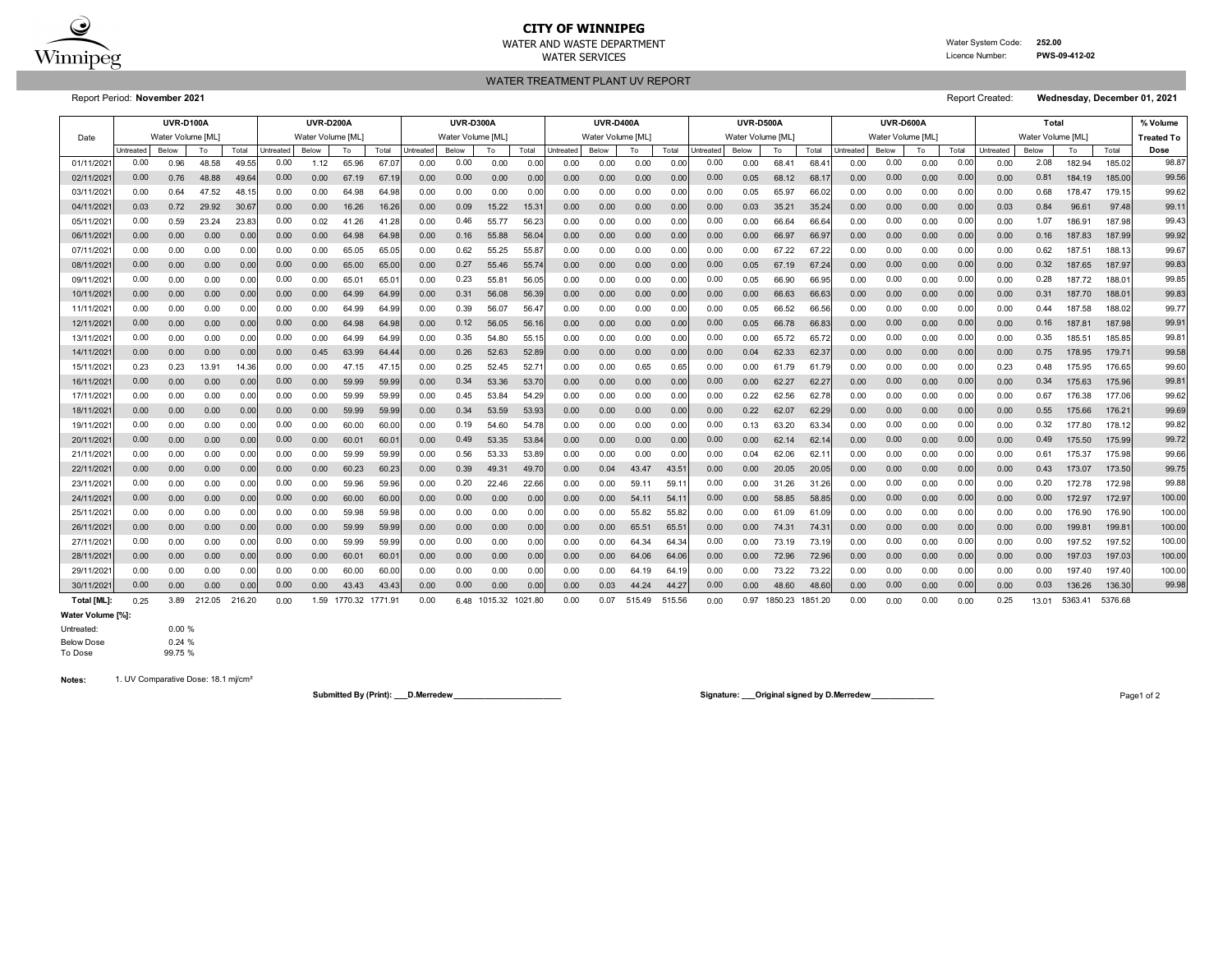

## **CITY OF WINNIPEG**

WATER AND WASTE DEPARTMENT Water System Code: **252.00** WATER SERVICES **EXAMPLE SERVICES Licence Number: PWS-09-412-02** 

WATER TREATMENT PLANT UV REPORT

Report Period: **November 2021** Report Created: **Wednesday, December 01, 2021**

|             | <b>UVR-D100A</b><br><b>UVR-D200A</b> |                   |        |        |           |                   |         | <b>UVR-D300A</b> |                  |                   |         | <b>UVR-D400A</b> |           |                   | <b>UVR-D500A</b> |        |           |                   | UVR-D600A |         |           |                   | Total |       |                   |       | % Volume |                    |                   |
|-------------|--------------------------------------|-------------------|--------|--------|-----------|-------------------|---------|------------------|------------------|-------------------|---------|------------------|-----------|-------------------|------------------|--------|-----------|-------------------|-----------|---------|-----------|-------------------|-------|-------|-------------------|-------|----------|--------------------|-------------------|
| Date        |                                      | Water Volume [ML] |        |        |           | Water Volume [ML] |         |                  |                  | Water Volume [ML] |         |                  |           | Water Volume [ML] |                  |        |           | Water Volume [ML] |           |         |           | Water Volume [ML] |       |       | Water Volume [ML] |       |          |                    | <b>Treated To</b> |
|             | Untreated                            | Below             | To     | Total  | Untreated | Below             | To      | Total            | <b>Jntreated</b> | Below             | To      | Total            | Untreated | Below             | To               | Total  | Untreated | Below             | To        | Total   | Untreated | Below             | To    | Total | Untreated         | Below | To       | Total              | Dose              |
| 01/11/202   | 0.00                                 | 0.96              | 48.58  | 49.5   | 0.00      | 1.12              | 65.96   | 67.07            | 0.00             | 0.00              | 0.00    | 0.00             | 0.00      | 0.00              | 0.00             | 0.0    | 0.00      | 0.00              | 68.41     | 68.4    | 0.00      | 0.00              | 0.00  | 0.00  | 0.00              | 2.08  | 182.94   | 185.02             | 98.87             |
| 02/11/202   | 0.00                                 | 0.76              | 48.88  | 49.6   | 0.00      | 0.00              | 67.19   | 67.19            | 0.00             | 0.00              | 0.00    | 0.00             | 0.00      | 0.00              | 0.00             | 0.00   | 0.00      | 0.05              | 68.12     | 68.1    | 0.00      | 0.00              | 0.00  | 0.00  | 0.00              | 0.81  | 184.19   | 185.00             | 99.56             |
| 03/11/202   | 0.00                                 | 0.64              | 47.52  | 48.1   | 0.00      | 0.00              | 64.98   | 64.98            | 0.00             | 0.00              | 0.00    | 0.00             | 0.00      | 0.00              | 0.00             | 0.00   | 0.00      | 0.05              | 65.97     | 66.02   | 0.00      | 0.00              | 0.00  | 0.00  | 0.00              | 0.68  | 178.47   | 179.15             | 99.62             |
| 04/11/202   | 0.03                                 | 0.72              | 29.92  | 30.6   | 0.00      | 0.00              | 16.26   | 16.26            | 0.00             | 0.09              | 15.22   | 15.3'            | 0.00      | 0.00              | 0.00             | 0.00   | 0.00      | 0.03              | 35.21     | 35.24   | 0.00      | 0.00              | 0.00  | 0.00  | 0.03              | 0.84  | 96.61    | 97.48              | 99.11             |
| 05/11/202   | 0.00                                 | 0.59              | 23.24  | 23.83  | 0.00      | 0.02              | 41.26   | 41.28            | 0.00             | 0.46              | 55.77   | 56.23            | 0.00      | 0.00              | 0.00             | 0.00   | 0.00      | 0.00              | 66.64     | 66.64   | 0.00      | 0.00              | 0.00  | 0.00  | 0.00              | 1.07  | 186.91   | 187.98             | 99.43             |
| 06/11/202   | 0.00                                 | 0.00              | 0.00   | 0.00   | 0.00      | 0.00              | 64.98   | 64.98            | 0.00             | 0.16              | 55.88   | 56.04            | 0.00      | 0.00              | 0.00             | 0.00   | 0.00      | 0.00              | 66.97     | 66.97   | 0.00      | 0.00              | 0.00  | 0.00  | 0.00              | 0.16  | 187.83   | 187.99             | 99.92             |
| 07/11/202   | 0.00                                 | 0.00              | 0.00   | 0.00   | 0.00      | 0.00              | 65.05   | 65.05            | 0.00             | 0.62              | 55.25   | 55.8             | 0.00      | 0.00              | 0.00             | 0.00   | 0.00      | 0.00              | 67.22     | 67.22   | 0.00      | 0.00              | 0.00  | 0.00  | 0.00              | 0.62  | 187.51   | 188.13             | 99.67             |
| 08/11/202   | 0.00                                 | 0.00              | 0.00   | 0.00   | 0.00      | 0.00              | 65.00   | 65.00            | 0.00             | 0.27              | 55.46   | 55.74            | 0.00      | 0.00              | 0.00             | 0.00   | 0.00      | 0.05              | 67.19     | 67.24   | 0.00      | 0.00              | 0.00  | 0.00  | 0.00              | 0.32  | 187.65   | 187.97             | 99.83             |
| 09/11/202   | 0.00                                 | 0.00              | 0.00   | 0.00   | 0.00      | 0.00              | 65.01   | 65.0             | 0.00             | 0.23              | 55.81   | 56.0             | 0.00      | 0.00              | 0.00             | 0.0    | 0.00      | 0.05              | 66.90     | 66.95   | 0.00      | 0.00              | 0.00  | 0.00  | 0.00              | 0.28  | 187.72   | 188.0              | 99.85             |
| 10/11/202   | 0.00                                 | 0.00              | 0.00   | 0.0    | 0.00      | 0.00              | 64.99   | 64.99            | 0.00             | 0.31              | 56.08   | 56.39            | 0.00      | 0.00              | 0.00             | 0.0    | 0.00      | 0.00              | 66.63     | 66.63   | 0.00      | 0.00              | 0.00  | 0.00  | 0.00              | 0.31  | 187.70   | 188.0 <sup>4</sup> | 99.83             |
| 11/11/202   | 0.00                                 | 0.00              | 0.00   | 0.00   | 0.00      | 0.00              | 64.99   | 64.99            | 0.00             | 0.39              | 56.07   | 56.47            | 0.00      | 0.00              | 0.00             | 0.0    | 0.00      | 0.05              | 66.52     | 66.56   | 0.00      | 0.00              | 0.00  | 0.00  | 0.00              | 0.44  | 187.58   | 188.02             | 99.77             |
| 12/11/202   | 0.00                                 | 0.00              | 0.00   | 0.00   | 0.00      | 0.00              | 64.98   | 64.98            | 0.00             | 0.12              | 56.05   | 56.1             | 0.00      | 0.00              | 0.00             | 0.00   | 0.00      | 0.05              | 66.78     | 66.83   | 0.00      | 0.00              | 0.00  | 0.00  | 0.00              | 0.16  | 187.81   | 187.98             | 99.91             |
| 13/11/202   | 0.00                                 | 0.00              | 0.00   | 0.00   | 0.00      | 0.00              | 64.99   | 64.99            | 0.00             | 0.35              | 54.80   | 55.15            | 0.00      | 0.00              | 0.00             | 0.00   | 0.00      | 0.00              | 65.72     | 65.72   | 0.00      | 0.00              | 0.00  | 0.00  | 0.00              | 0.35  | 185.51   | 185.85             | 99.81             |
| 14/11/202   | 0.00                                 | 0.00              | 0.00   | 0.00   | 0.00      | 0.45              | 63.99   | 64.4             | 0.00             | 0.26              | 52.63   | 52.89            | 0.00      | 0.00              | 0.00             | 0.0    | 0.00      | 0.04              | 62.33     | 62.37   | 0.00      | 0.00              | 0.00  | 0.00  | 0.00              | 0.75  | 178.95   | 179.7'             | 99.58             |
| 15/11/202   | 0.23                                 | 0.23              | 13.91  | 14.36  | 0.00      | 0.00              | 47.15   | 47.15            | 0.00             | 0.25              | 52.45   | 52.7             | 0.00      | 0.00              | 0.65             | 0.65   | 0.00      | 0.00              | 61.79     | 61.79   | 0.00      | 0.00              | 0.00  | 0.00  | 0.23              | 0.48  | 175.95   | 176.65             | 99.60             |
| 16/11/202   | 0.00                                 | 0.00              | 0.00   | 0.00   | 0.00      | 0.00              | 59.99   | 59.99            | 0.00             | 0.34              | 53.36   | 53.70            | 0.00      | 0.00              | 0.00             | 0.00   | 0.00      | 0.00              | 62.27     | 62.27   | 0.00      | 0.00              | 0.00  | 0.00  | 0.00              | 0.34  | 175.63   | 175.96             | 99.81             |
| 17/11/202   | 0.00                                 | 0.00              | 0.00   | 0.00   | 0.00      | 0.00              | 59.99   | 59.99            | 0.00             | 0.45              | 53.84   | 54.29            | 0.00      | 0.00              | 0.00             | 0.00   | 0.00      | 0.22              | 62.56     | 62.78   | 0.00      | 0.00              | 0.00  | 0.00  | 0.00              | 0.67  | 176.38   | 177.06             | 99.62             |
| 18/11/202   | 0.00                                 | 0.00              | 0.00   | 0.00   | 0.00      | 0.00              | 59.99   | 59.99            | 0.00             | 0.34              | 53.59   | 53.93            | 0.00      | 0.00              | 0.00             | 0.0(   | 0.00      | 0.22              | 62.07     | 62.29   | 0.00      | 0.00              | 0.00  | 0.00  | 0.00              | 0.55  | 175.66   | 176.2'             | 99.69             |
| 19/11/202   | 0.00                                 | 0.00              | 0.00   | 0.00   | 0.00      | 0.00              | 60.00   | 60.00            | 0.00             | 0.19              | 54.60   | 54.78            | 0.00      | 0.00              | 0.00             | 0.0    | 0.00      | 0.13              | 63.20     | 63.34   | 0.00      | 0.00              | 0.00  | 0.00  | 0.00              | 0.32  | 177.80   | 178.12             | 99.82             |
| 20/11/202   | 0.00                                 | 0.00              | 0.00   | 0.00   | 0.00      | 0.00              | 60.01   | $60.0^{\circ}$   | 0.00             | 0.49              | 53.35   | 53.84            | 0.00      | 0.00              | 0.00             | 0.00   | 0.00      | 0.00              | 62.14     | 62.14   | 0.00      | 0.00              | 0.00  | 0.00  | 0.00              | 0.49  | 175.50   | 175.99             | 99.72             |
| 21/11/2021  | 0.00                                 | 0.00              | 0.00   | 0.00   | 0.00      | 0.00              | 59.99   | 59.99            | 0.00             | 0.56              | 53.33   | 53.89            | 0.00      | 0.00              | 0.00             | 0.0    | 0.00      | 0.04              | 62.06     | 62.1    | 0.00      | 0.00              | 0.00  | 0.00  | 0.00              | 0.61  | 175.37   | 175.98             | 99.66             |
| 22/11/2021  | 0.00                                 | 0.00              | 0.00   | 0.00   | 0.00      | 0.00              | 60.23   | 60.23            | 0.00             | 0.39              | 49.31   | 49.70            | 0.00      | 0.04              | 43.47            | 43.5   | 0.00      | 0.00              | 20.05     | 20.05   | 0.00      | 0.00              | 0.00  | 0.00  | 0.00              | 0.43  | 173.07   | 173.50             | 99.75             |
| 23/11/202   | 0.00                                 | 0.00              | 0.00   | 0.0(   | 0.00      | 0.00              | 59.96   | 59.96            | 0.00             | 0.20              | 22.46   | 22.66            | 0.00      | 0.00              | 59.11            | 59.1   | 0.00      | 0.00              | 31.26     | 31.26   | 0.00      | 0.00              | 0.00  | 0.00  | 0.00              | 0.20  | 172.78   | 172.98             | 99.88             |
| 24/11/202   | 0.00                                 | 0.00              | 0.00   | 0.00   | 0.00      | 0.00              | 60.00   | 60.00            | 0.00             | 0.00              | 0.00    | 0.00             | 0.00      | 0.00              | 54.11            | 54.1   | 0.00      | 0.00              | 58.85     | 58.85   | 0.00      | 0.00              | 0.00  | 0.00  | 0.00              | 0.00  | 172.97   | 172.97             | 100.00            |
| 25/11/202   | 0.00                                 | 0.00              | 0.00   | 0.00   | 0.00      | 0.00              | 59.98   | 59.98            | 0.00             | 0.00              | 0.00    | 0.00             | 0.00      | 0.00              | 55.82            | 55.8   | 0.00      | 0.00              | 61.09     | 61.09   | 0.00      | 0.00              | 0.00  | 0.00  | 0.00              | 0.00  | 176.90   | 176.90             | 100.00            |
| 26/11/202   | 0.00                                 | 0.00              | 0.00   | 0.00   | 0.00      | 0.00              | 59.99   | 59.99            | 0.00             | 0.00              | 0.00    | 0.00             | 0.00      | 0.00              | 65.51            | 65.5   | 0.00      | 0.00              | 74.31     | 74.3    | 0.00      | 0.00              | 0.00  | 0.00  | 0.00              | 0.00  | 199.81   | 199.8              | 100.00            |
| 27/11/202   | 0.00                                 | 0.00              | 0.00   | 0.00   | 0.00      | 0.00              | 59.99   | 59.99            | 0.00             | 0.00              | 0.00    | 0.00             | 0.00      | 0.00              | 64.34            | 64.3   | 0.00      | 0.00              | 73.19     | 73.1    | 0.00      | 0.00              | 0.00  | 0.00  | 0.00              | 0.00  | 197.52   | 197.52             | 100.00            |
| 28/11/202   | 0.00                                 | 0.00              | 0.00   | 0.00   | 0.00      | 0.00              | 60.01   | 60.0             | 0.00             | 0.00              | 0.00    | 0.00             | 0.00      | 0.00              | 64.06            | 64.0   | 0.00      | 0.00              | 72.96     | 72.96   | 0.00      | 0.00              | 0.00  | 0.00  | 0.00              | 0.00  | 197.03   | 197.03             | 100.00            |
| 29/11/202   | 0.00                                 | 0.00              | 0.00   | 0.00   | 0.00      | 0.00              | 60.00   | 60.00            | 0.00             | 0.00              | 0.00    | 0.00             | 0.00      | 0.00              | 64.19            | 64.1   | 0.00      | 0.00              | 73.22     | 73.22   | 0.00      | 0.00              | 0.00  | 0.00  | 0.00              | 0.00  | 197.40   | 197.40             | 100.00            |
| 30/11/202   | 0.00                                 | 0.00              | 0.00   | 0.00   | 0.00      | 0.00              | 43.43   | 43.43            | 0.00             | 0.00              | 0.00    | 0.00             | 0.00      | 0.03              | 44.24            | 44.2   | 0.00      | 0.00              | 48.60     | 48.60   | 0.00      | 0.00              | 0.00  | 0.00  | 0.00              | 0.03  | 136.26   | 136.30             | 99.98             |
| Total [ML]: | 0.25                                 | 3.89              | 212.05 | 216.20 | 0.00      | 1.59              | 1770.32 | 1771.91          | 0.00             | 6.48              | 1015.32 | 1021.80          | 0.00      | 0.07              | 515.49           | 515.56 | 0.00      | 0.97              | 1850.23   | 1851.20 | 0.00      | 0.00              | 0.00  | 0.00  | 0.25              | 13.01 | 5363.41  | 5376.68            |                   |

**Water Volume [%]:**

Untreated: 0.00 %

Below Dose 0.24 %<br>To Dose 99.75 % 99.75 %

**Notes:** 1. UV Comparative Dose: 18.1 mj/cm²

**Submitted By (Print): \_\_\_D.Merredew\_\_\_\_\_\_\_\_\_\_\_\_\_\_\_\_\_\_\_\_\_\_\_\_ Signature: \_\_\_Original signed by D.Merredew\_\_\_\_\_\_\_\_\_\_\_\_\_\_** Page1 of 2